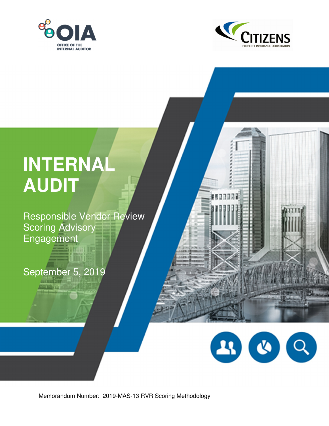



**MARTINE** 

# **INTERNAL AUDIT**

Responsible Vendor Review Scoring Advisory Engagement

**Equatique** 

September 5, 2019



Memorandum Number: 2019-MAS-13 RVR Scoring Methodology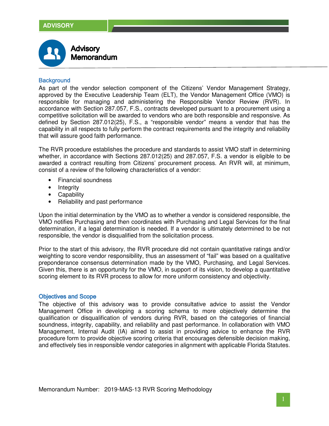

## **Background**

As part of the vendor selection component of the Citizens' Vendor Management Strategy, approved by the Executive Leadership Team (ELT), the Vendor Management Office (VMO) is responsible for managing and administering the Responsible Vendor Review (RVR). In accordance with Section 287.057, F.S., contracts developed pursuant to a procurement using a competitive solicitation will be awarded to vendors who are both responsible and responsive. As defined by Section 287.012(25), F.S., a "responsible vendor" means a vendor that has the capability in all respects to fully perform the contract requirements and the integrity and reliability that will assure good faith performance.

The RVR procedure establishes the procedure and standards to assist VMO staff in determining whether, in accordance with Sections 287.012(25) and 287.057, F.S. a vendor is eligible to be awarded a contract resulting from Citizens' procurement process. An RVR will, at minimum, consist of a review of the following characteristics of a vendor:

- Financial soundness
- Integrity
- Capability
- Reliability and past performance

Upon the initial determination by the VMO as to whether a vendor is considered responsible, the VMO notifies Purchasing and then coordinates with Purchasing and Legal Services for the final determination, if a legal determination is needed. If a vendor is ultimately determined to be not responsible, the vendor is disqualified from the solicitation process.

Prior to the start of this advisory, the RVR procedure did not contain quantitative ratings and/or weighting to score vendor responsibility, thus an assessment of "fail" was based on a qualitative preponderance consensus determination made by the VMO, Purchasing, and Legal Services. Given this, there is an opportunity for the VMO, in support of its vision, to develop a quantitative scoring element to its RVR process to allow for more uniform consistency and objectivity.

#### **Objectives and Scope**

The objective of this advisory was to provide consultative advice to assist the Vendor Management Office in developing a scoring schema to more objectively determine the qualification or disqualification of vendors during RVR, based on the categories of financial soundness, integrity, capability, and reliability and past performance. In collaboration with VMO Management, Internal Audit (IA) aimed to assist in providing advice to enhance the RVR procedure form to provide objective scoring criteria that encourages defensible decision making, and effectively ties in responsible vendor categories in alignment with applicable Florida Statutes.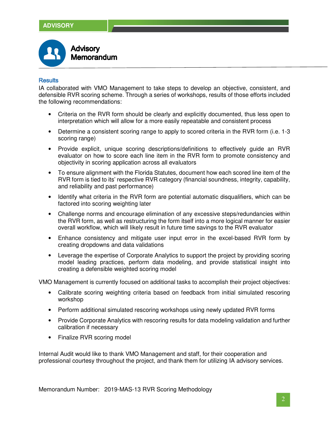

## **Results**

IA collaborated with VMO Management to take steps to develop an objective, consistent, and defensible RVR scoring scheme. Through a series of workshops, results of those efforts included the following recommendations:

- Criteria on the RVR form should be clearly and explicitly documented, thus less open to interpretation which will allow for a more easily repeatable and consistent process
- Determine a consistent scoring range to apply to scored criteria in the RVR form (i.e. 1-3) scoring range)
- Provide explicit, unique scoring descriptions/definitions to effectively guide an RVR evaluator on how to score each line item in the RVR form to promote consistency and objectivity in scoring application across all evaluators
- To ensure alignment with the Florida Statutes, document how each scored line item of the RVR form is tied to its' respective RVR category (financial soundness, integrity, capability, and reliability and past performance)
- Identify what criteria in the RVR form are potential automatic disqualifiers, which can be factored into scoring weighting later
- Challenge norms and encourage elimination of any excessive steps/redundancies within the RVR form, as well as restructuring the form itself into a more logical manner for easier overall workflow, which will likely result in future time savings to the RVR evaluator
- Enhance consistency and mitigate user input error in the excel-based RVR form by creating dropdowns and data validations
- Leverage the expertise of Corporate Analytics to support the project by providing scoring model leading practices, perform data modeling, and provide statistical insight into creating a defensible weighted scoring model

VMO Management is currently focused on additional tasks to accomplish their project objectives:

- Calibrate scoring weighting criteria based on feedback from initial simulated rescoring workshop
- Perform additional simulated rescoring workshops using newly updated RVR forms
- Provide Corporate Analytics with rescoring results for data modeling validation and further calibration if necessary
- Finalize RVR scoring model

Internal Audit would like to thank VMO Management and staff, for their cooperation and professional courtesy throughout the project, and thank them for utilizing IA advisory services.